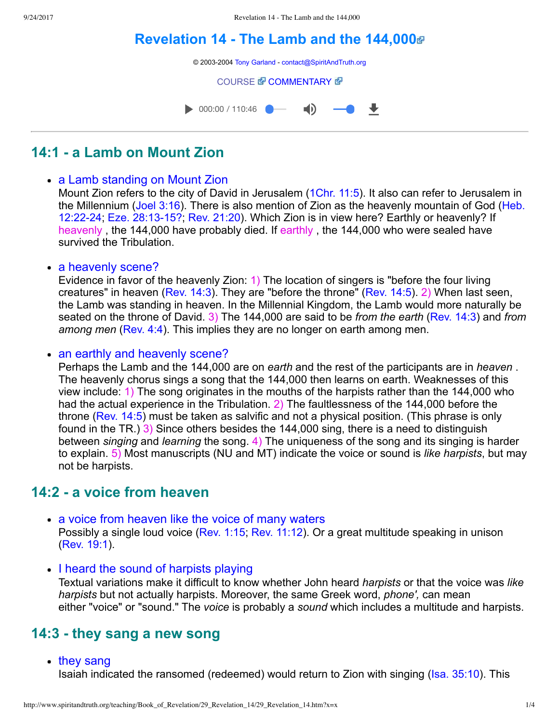# **[Revelation 14 The Lamb and the 144,000](http://www.spiritandtruth.org/teaching/Book_of_Revelation/29_Revelation_14/index.htm)**



# **14:1 a Lamb on Mount Zion**

### • a Lamb standing on Mount Zion

Mount Zion refers to the city of David in Jerusalem [\(1Chr. 11:5\)](http://www.spiritandtruth.org/bibles/nasb/b13c011.htm#1Chr._C11V5). It also can refer to Jerusalem in [the Millennium \(Joel 3:16\). There is also mention of Zion as the heavenly mountain of God \(Heb.](http://www.spiritandtruth.org/bibles/nasb/b58c012.htm#Heb._C12V22) 12:22-24; Eze. 28:13-15?; [Rev. 21:20\)](http://www.spiritandtruth.org/bibles/nasb/b66c021.htm#Rev._C21V10). Which Zion is in view here? Earthly or heavenly? If heavenly, the 144,000 have probably died. If earthly, the 144,000 who were sealed have survived the Tribulation.

• a heavenly scene?

Evidence in favor of the heavenly Zion: 1) The location of singers is "before the four living creatures" in heaven [\(Rev. 14:3](http://www.spiritandtruth.org/bibles/nasb/b66c014.htm#Rev._C14V3)). They are "before the throne" [\(Rev. 14:5\)](http://www.spiritandtruth.org/bibles/nasb/b66c014.htm#Rev._C14V5). 2) When last seen, the Lamb was standing in heaven. In the Millennial Kingdom, the Lamb would more naturally be seated on the throne of David. 3) The 144,000 are said to be *from the earth* ([Rev. 14:3\)](http://www.spiritandtruth.org/bibles/nasb/b66c014.htm#Rev._C14V3) and *from among men* ([Rev. 4:4\)](http://www.spiritandtruth.org/bibles/nasb/b66c004.htm#Rev._C4V4). This implies they are no longer on earth among men.

### • an earthly and heavenly scene?

Perhaps the Lamb and the 144,000 are on *earth* and the rest of the participants are in *heaven* . The heavenly chorus sings a song that the 144,000 then learns on earth. Weaknesses of this view include: 1) The song originates in the mouths of the harpists rather than the 144,000 who had the actual experience in the Tribulation. 2) The faultlessness of the 144,000 before the throne [\(Rev. 14:5\)](http://www.spiritandtruth.org/bibles/nasb/b66c014.htm#Rev._C14V5) must be taken as salvific and not a physical position. (This phrase is only found in the TR.) 3) Since others besides the 144,000 sing, there is a need to distinguish between *singing* and *learning* the song. 4) The uniqueness of the song and its singing is harder to explain. 5) Most manuscripts (NU and MT) indicate the voice or sound is *like harpists*, but may not be harpists.

## **14:2 a voice from heaven**

- a voice from heaven like the voice of many waters Possibly a single loud voice [\(Rev. 1:15;](http://www.spiritandtruth.org/bibles/nasb/b66c001.htm#Rev._C1V15) [Rev. 11:12\)](http://www.spiritandtruth.org/bibles/nasb/b66c011.htm#Rev._C11V12). Or a great multitude speaking in unison [\(Rev. 19:1\)](http://www.spiritandtruth.org/bibles/nasb/b66c019.htm#Rev._C19V1).
- I heard the sound of harpists playing

Textual variations make it difficult to know whether John heard *harpists* or that the voice was *like harpists* but not actually harpists. Moreover, the same Greek word, *phone',* can mean either "voice" or "sound." The *voice* is probably a *sound* which includes a multitude and harpists.

### **14:3 they sang a new song**

• they sang

Isaiah indicated the ransomed (redeemed) would return to Zion with singing [\(Isa. 35:10\)](http://www.spiritandtruth.org/bibles/nasb/b23c035.htm#Isa._C35V10). This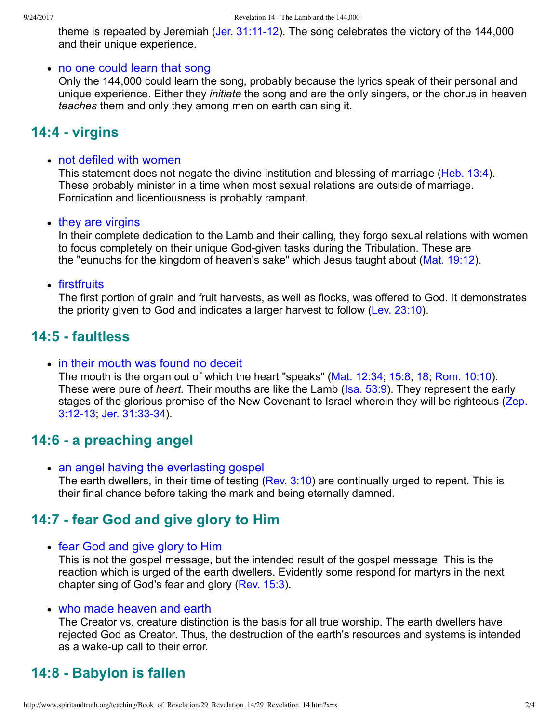theme is repeated by Jeremiah (Jer.  $31:11-12$ ). The song celebrates the victory of the 144,000 and their unique experience.

#### • no one could learn that song

Only the 144,000 could learn the song, probably because the lyrics speak of their personal and unique experience. Either they *initiate* the song and are the only singers, or the chorus in heaven *teaches* them and only they among men on earth can sing it.

### **14:4 virgins**

#### not defiled with women

This statement does not negate the divine institution and blessing of marriage ([Heb. 13:4](http://www.spiritandtruth.org/bibles/nasb/b58c013.htm#Heb._C13V4)). These probably minister in a time when most sexual relations are outside of marriage. Fornication and licentiousness is probably rampant.

• they are virgins

In their complete dedication to the Lamb and their calling, they forgo sexual relations with women to focus completely on their unique God-given tasks during the Tribulation. These are the "eunuchs for the kingdom of heaven's sake" which Jesus taught about [\(Mat. 19:12](http://www.spiritandtruth.org/bibles/nasb/b40c019.htm#Mat._C19V12)).

### • firstfruits

The first portion of grain and fruit harvests, as well as flocks, was offered to God. It demonstrates the priority given to God and indicates a larger harvest to follow [\(Lev. 23:10\)](http://www.spiritandtruth.org/bibles/nasb/b03c023.htm#Lev._C23V10).

## **14:5 faultless**

### • in their mouth was found no deceit

The mouth is the organ out of which the heart "speaks" ([Mat. 12:34;](http://www.spiritandtruth.org/bibles/nasb/b40c012.htm#Mat._C12V34) [15:8,](http://www.spiritandtruth.org/bibles/nasb/b40c015.htm#Mat._C15V8) [18;](http://www.spiritandtruth.org/bibles/nasb/b40c015.htm#Mat._C15V18) [Rom. 10:10](http://www.spiritandtruth.org/bibles/nasb/b45c010.htm#Rom._C10V10)). These were pure of *heart.* Their mouths are like the Lamb ([Isa. 53:9\)](http://www.spiritandtruth.org/bibles/nasb/b23c053.htm#Isa._C53V9). They represent the early [stages of the glorious promise of the New Covenant to Israel wherein they will be righteous \(Zep.](http://www.spiritandtruth.org/bibles/nasb/b36c003.htm#Zep._C3V12) 3:12-13; Jer. 31:33-34).

## **14:6 a preaching angel**

• an angel having the everlasting gospel The earth dwellers, in their time of testing ([Rev. 3:10\)](http://www.spiritandtruth.org/bibles/nasb/b66c003.htm#Rev._C3V10) are continually urged to repent. This is their final chance before taking the mark and being eternally damned.

# **14:7 fear God and give glory to Him**

### • fear God and give glory to Him

This is not the gospel message, but the intended result of the gospel message. This is the reaction which is urged of the earth dwellers. Evidently some respond for martyrs in the next chapter sing of God's fear and glory [\(Rev. 15:3\)](http://www.spiritandtruth.org/bibles/nasb/b66c015.htm#Rev._C15V3).

### • who made heaven and earth

The Creator vs. creature distinction is the basis for all true worship. The earth dwellers have rejected God as Creator. Thus, the destruction of the earth's resources and systems is intended as a wake-up call to their error.

# **14:8 Babylon is fallen**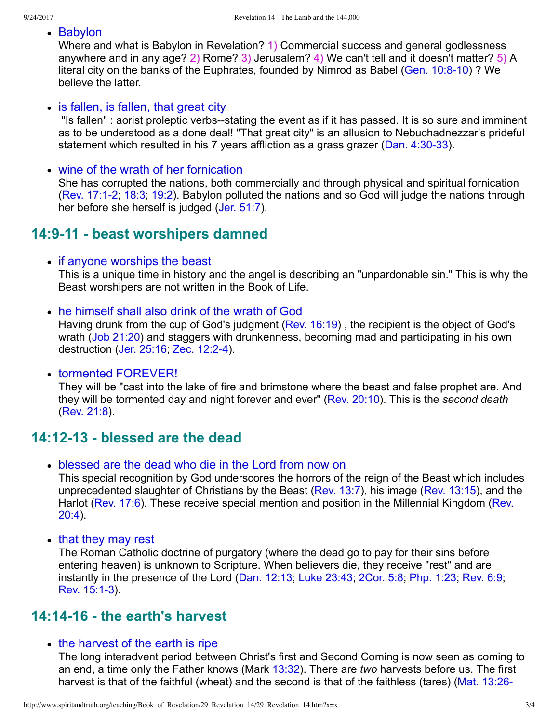• Babylon

Where and what is Babylon in Revelation? 1) Commercial success and general godlessness anywhere and in any age? 2) Rome? 3) Jerusalem? 4) We can't tell and it doesn't matter? 5) A literal city on the banks of the Euphrates, founded by Nimrod as Babel (Gen. 10:8-10) ? We believe the latter.

• is fallen, is fallen, that great city

"Is fallen" : aorist proleptic verbs--stating the event as if it has passed. It is so sure and imminent as to be understood as a done deal! "That great city" is an allusion to Nebuchadnezzar's prideful statement which resulted in his 7 years affliction as a grass grazer ( $Dan. 4:30-33$ ).

• wine of the wrath of her fornication

She has corrupted the nations, both commercially and through physical and spiritual fornication [\(Rev. 17:12](http://www.spiritandtruth.org/bibles/nasb/b66c017.htm#Rev._C17V1); [18:3](http://www.spiritandtruth.org/bibles/nasb/b66c018.htm#Rev._C18V3); [19:2](http://www.spiritandtruth.org/bibles/nasb/b66c019.htm#Rev._C19V2)). Babylon polluted the nations and so God will judge the nations through her before she herself is judged ([Jer. 51:7](http://www.spiritandtruth.org/bibles/nasb/b24c051.htm#Jer._C51V7)).

### **14:911 beast worshipers damned**

• if anyone worships the beast

This is a unique time in history and the angel is describing an "unpardonable sin." This is why the Beast worshipers are not written in the Book of Life.

he himself shall also drink of the wrath of God

Having drunk from the cup of God's judgment ([Rev. 16:19\)](http://www.spiritandtruth.org/bibles/nasb/b66c016.htm#Rev._C16V19) , the recipient is the object of God's wrath ([Job 21:20](http://www.spiritandtruth.org/bibles/nasb/b18c021.htm#Job_C21V20)) and staggers with drunkenness, becoming mad and participating in his own destruction [\(Jer. 25:16;](http://www.spiritandtruth.org/bibles/nasb/b24c025.htm#Jer._C25V16) [Zec. 12:24](http://www.spiritandtruth.org/bibles/nasb/b38c012.htm#Zec._C12V2)).

• tormented FOREVER!

They will be "cast into the lake of fire and brimstone where the beast and false prophet are. And they will be tormented day and night forever and ever" ([Rev. 20:10\)](http://www.spiritandtruth.org/bibles/nasb/b66c020.htm#Rev._C20V10). This is the *second death* [\(Rev. 21:8\)](http://www.spiritandtruth.org/bibles/nasb/b66c021.htm#Rev._C21V8).

### **14:1213 blessed are the dead**

blessed are the dead who die in the Lord from now on

This special recognition by God underscores the horrors of the reign of the Beast which includes unprecedented slaughter of Christians by the Beast ([Rev. 13:7\)](http://www.spiritandtruth.org/bibles/nasb/b66c013.htm#Rev._C13V7), his image [\(Rev. 13:15\)](http://www.spiritandtruth.org/bibles/nasb/b66c013.htm#Rev._C13V15), and the [Harlot \(Rev. 17:6\). These receive special mention and position in the Millennial Kingdom \(Rev.](http://www.spiritandtruth.org/bibles/nasb/b66c020.htm#Rev._C20V4) 20:4).

• that they may rest

The Roman Catholic doctrine of purgatory (where the dead go to pay for their sins before entering heaven) is unknown to Scripture. When believers die, they receive "rest" and are instantly in the presence of the Lord [\(Dan. 12:13;](http://www.spiritandtruth.org/bibles/nasb/b27c012.htm#Dan._C12V13) [Luke 23:43;](http://www.spiritandtruth.org/bibles/nasb/b42c023.htm#Luke_C23V43) [2Cor. 5:8;](http://www.spiritandtruth.org/bibles/nasb/b47c005.htm#2Cor._C5V8) [Php. 1:23](http://www.spiritandtruth.org/bibles/nasb/b50c001.htm#Php._C1V23); [Rev. 6:9](http://www.spiritandtruth.org/bibles/nasb/b66c006.htm#Rev._C6V9); Rev. 15:1-3).

### **14:1416 the earth's harvest**

• the harvest of the earth is ripe

The long interadvent period between Christ's first and Second Coming is now seen as coming to an end, a time only the Father knows (Mark [13:32](http://www.spiritandtruth.org/bibles/nasb/b41c013.htm#Mark_C13V32)). There are *two* harvests before us. The first [harvest is that of the faithful \(wheat\) and the second is that of the faithless \(tares\) \(Mat. 13:26](http://www.spiritandtruth.org/bibles/nasb/b40c013.htm#Mat._C13V26)-